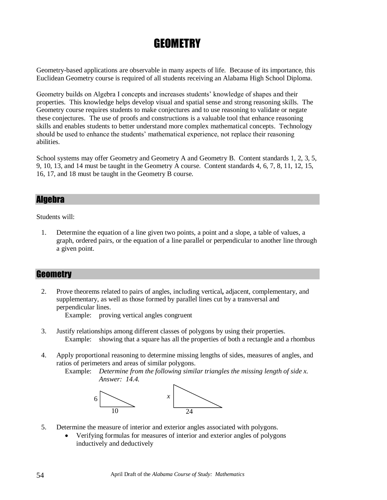# **GEOMETRY**

Geometry-based applications are observable in many aspects of life. Because of its importance, this Euclidean Geometry course is required of all students receiving an Alabama High School Diploma.

Geometry builds on Algebra I concepts and increases students' knowledge of shapes and their properties. This knowledge helps develop visual and spatial sense and strong reasoning skills. The Geometry course requires students to make conjectures and to use reasoning to validate or negate these conjectures. The use of proofs and constructions is a valuable tool that enhance reasoning skills and enables students to better understand more complex mathematical concepts. Technology should be used to enhance the students' mathematical experience, not replace their reasoning abilities.

School systems may offer Geometry and Geometry A and Geometry B. Content standards 1, 2, 3, 5, 9, 10, 13, and 14 must be taught in the Geometry A course. Content standards 4, 6, 7, 8, 11, 12, 15, 16, 17, and 18 must be taught in the Geometry B course.

### Algebra

Students will:

1. Determine the equation of a line given two points, a point and a slope, a table of values, a graph, ordered pairs, or the equation of a line parallel or perpendicular to another line through a given point.

### **Geometry**

2. Prove theorems related to pairs of angles, including vertical**,** adjacent, complementary, and supplementary, as well as those formed by parallel lines cut by a transversal and perpendicular lines.

Example: proving vertical angles congruent

- 3. Justify relationships among different classes of polygons by using their properties. Example: showing that a square has all the properties of both a rectangle and a rhombus
- 4. Apply proportional reasoning to determine missing lengths of sides, measures of angles, and ratios of perimeters and areas of similar polygons.

Example: *Determine from the following similar triangles the missing length of side x. Answer: 14.4.*



- 5. Determine the measure of interior and exterior angles associated with polygons.
	- Verifying formulas for measures of interior and exterior angles of polygons inductively and deductively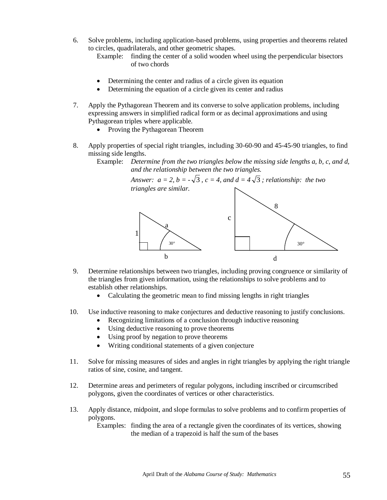- 6. Solve problems, including application-based problems, using properties and theorems related to circles, quadrilaterals, and other geometric shapes.
	- Example: finding the center of a solid wooden wheel using the perpendicular bisectors of two chords
	- Determining the center and radius of a circle given its equation
	- Determining the equation of a circle given its center and radius
- 7. Apply the Pythagorean Theorem and its converse to solve application problems, including expressing answers in simplified radical form or as decimal approximations and using Pythagorean triples where applicable.
	- Proving the Pythagorean Theorem
- 8. Apply properties of special right triangles, including 30-60-90 and 45-45-90 triangles, to find missing side lengths.
	- Example: *Determine from the two triangles below the missing side lengths a, b, c, and d, and the relationship between the two triangles.*

*Answer:*  $a = 2$ ,  $b = -\sqrt{3}$ ,  $c = 4$ , and  $d = 4\sqrt{3}$ ; relationship: the two *triangles are similar.*



- 9. Determine relationships between two triangles, including proving congruence or similarity of the triangles from given information, using the relationships to solve problems and to establish other relationships.
	- Calculating the geometric mean to find missing lengths in right triangles
- 10. Use inductive reasoning to make conjectures and deductive reasoning to justify conclusions.
	- Recognizing limitations of a conclusion through inductive reasoning
		- Using deductive reasoning to prove theorems
		- Using proof by negation to prove theorems
		- Writing conditional statements of a given conjecture
- 11. Solve for missing measures of sides and angles in right triangles by applying the right triangle ratios of sine, cosine, and tangent.
- 12. Determine areas and perimeters of regular polygons, including inscribed or circumscribed polygons, given the coordinates of vertices or other characteristics.
- 13. Apply distance, midpoint, and slope formulas to solve problems and to confirm properties of polygons.

Examples: finding the area of a rectangle given the coordinates of its vertices, showing the median of a trapezoid is half the sum of the bases